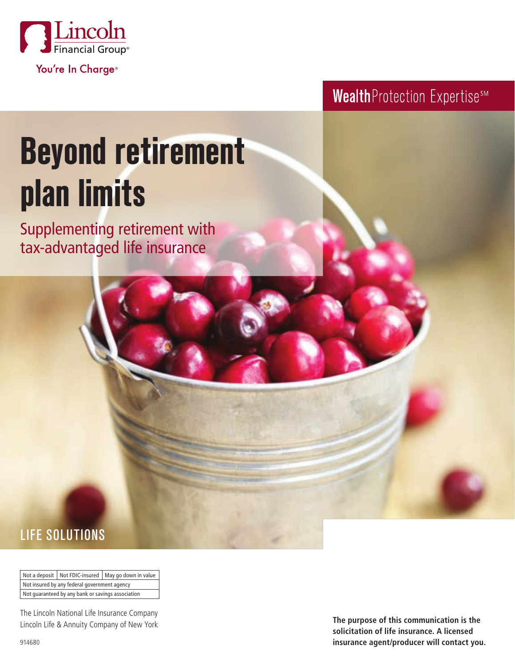

Wealth Protection ExpertisesM

# **Beyond retirement plan limits**

Supplementing retirement with tax-advantaged life insurance

## LIFE SOLUTIONS

Not a deposit | Not FDIC-insured | May go down in value Not insured by any federal government agency Not guaranteed by any bank or savings association

The Lincoln National Life Insurance Company Lincoln Life & Annuity Company of New York

**The purpose of this communication is the solicitation of life insurance. A licensed insurance agent/producer will contact you.**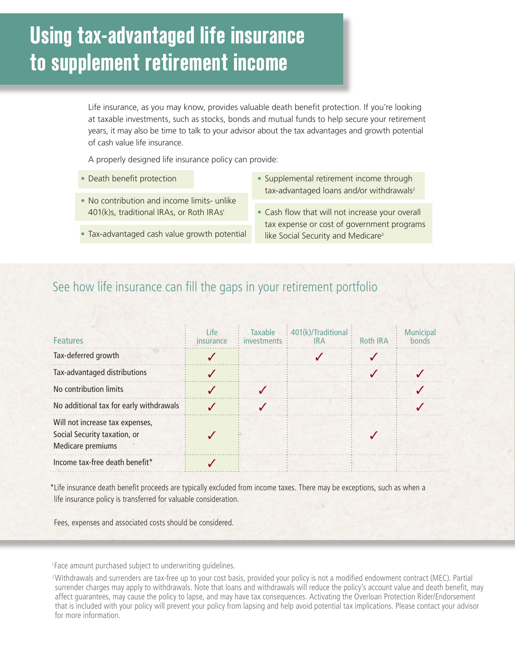# **Using tax-advantaged life insurance to supplement retirement income**

Life insurance, as you may know, provides valuable death benefit protection. If you're looking at taxable investments, such as stocks, bonds and mutual funds to help secure your retirement years, it may also be time to talk to your advisor about the tax advantages and growth potential of cash value life insurance.

A properly designed life insurance policy can provide:

- Death benefit protection
- No contribution and income limits- unlike 401(k)s, traditional IRAs, or Roth IRAs<sup>1</sup>
- Tax-advantaged cash value growth potential
- Supplemental retirement income through tax-advantaged loans and/or withdrawals<sup>2</sup>
- Cash flow that will not increase your overall tax expense or cost of government programs like Social Security and Medicare<sup>3</sup>

#### See how life insurance can fill the gaps in your retirement portfolio

| <b>Features</b>                                                                      | Life<br>insurance | <b>Taxable</b><br><i>investments</i> | $\div$ 401(k)/Traditional $\div$<br><b>IRA</b> | Roth IRA | <b>Municipal</b><br>bonds |
|--------------------------------------------------------------------------------------|-------------------|--------------------------------------|------------------------------------------------|----------|---------------------------|
| Tax-deferred growth                                                                  |                   |                                      |                                                |          |                           |
| Tax-advantaged distributions                                                         |                   |                                      |                                                |          |                           |
| No contribution limits                                                               |                   |                                      |                                                |          |                           |
| No additional tax for early withdrawals                                              |                   |                                      |                                                |          |                           |
| Will not increase tax expenses,<br>Social Security taxation, or<br>Medicare premiums |                   |                                      |                                                |          |                           |
| Income tax-free death benefit*                                                       |                   |                                      |                                                |          |                           |

\*Life insurance death benefit proceeds are typically excluded from income taxes. There may be exceptions, such as when a life insurance policy is transferred for valuable consideration.

Fees, expenses and associated costs should be considered.

<sup>1</sup> Face amount purchased subject to underwriting quidelines.

<sup>&</sup>lt;sup>2</sup>Withdrawals and surrenders are tax-free up to your cost basis, provided your policy is not a modified endowment contract (MEC). Partial surrender charges may apply to withdrawals. Note that loans and withdrawals will reduce the policy's account value and death benefit, may affect guarantees, may cause the policy to lapse, and may have tax consequences. Activating the Overloan Protection Rider/Endorsement that is included with your policy will prevent your policy from lapsing and help avoid potential tax implications. Please contact your advisor for more information.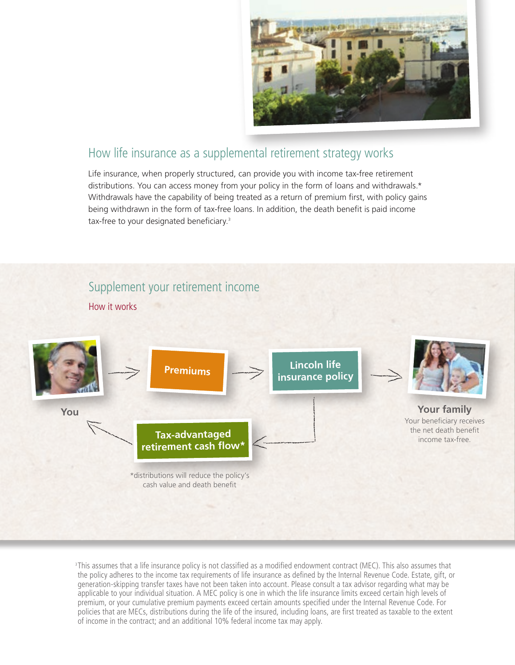

#### How life insurance as a supplemental retirement strategy works

Life insurance, when properly structured, can provide you with income tax-free retirement distributions. You can access money from your policy in the form of loans and withdrawals.\* Withdrawals have the capability of being treated as a return of premium first, with policy gains being withdrawn in the form of tax-free loans. In addition, the death benefit is paid income tax-free to your designated beneficiary.<sup>3</sup>

#### Supplement your retirement income

How it works



3 This assumes that a life insurance policy is not classified as a modified endowment contract (MEC). This also assumes that the policy adheres to the income tax requirements of life insurance as defined by the Internal Revenue Code. Estate, gift, or generation-skipping transfer taxes have not been taken into account. Please consult a tax advisor regarding what may be applicable to your individual situation. A MEC policy is one in which the life insurance limits exceed certain high levels of premium, or your cumulative premium payments exceed certain amounts specified under the Internal Revenue Code. For policies that are MECs, distributions during the life of the insured, including loans, are first treated as taxable to the extent of income in the contract; and an additional 10% federal income tax may apply.